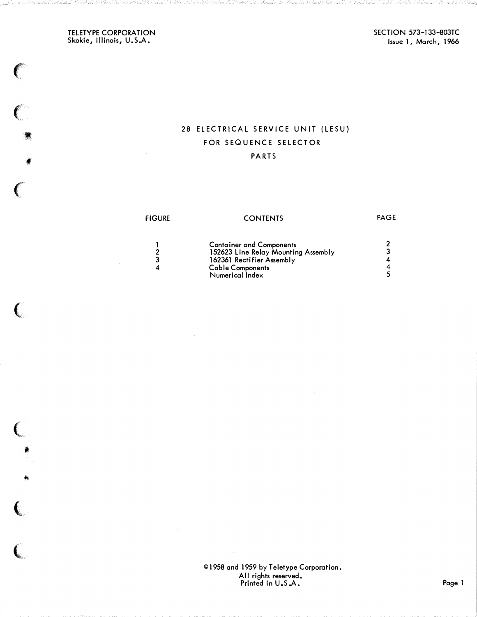TELETYPE CORPORATION Skokie, Illinois, U.S.A.

 $\big($ 

 $\big($ 

•

f

 $\big($ 

 $\big($ 

 $\big($ 

•

 $^{\ast}$ 

{

 $\big($ 

SECTION 573-133-803TC Issue 1, March, 1966

# 28 ELECTRICAL SERVICE UNIT (LESU) FOR SEQUENCE SELECTOR **PARTS**

## **FIGURE**

### **CONTENTS**

PAGE

| <b>Container and Components</b><br>152623 Line Relay Mounting Assembly<br>162361 Rectifier Assembly<br><b>Cable Components</b> |  |
|--------------------------------------------------------------------------------------------------------------------------------|--|
| Numerical Index                                                                                                                |  |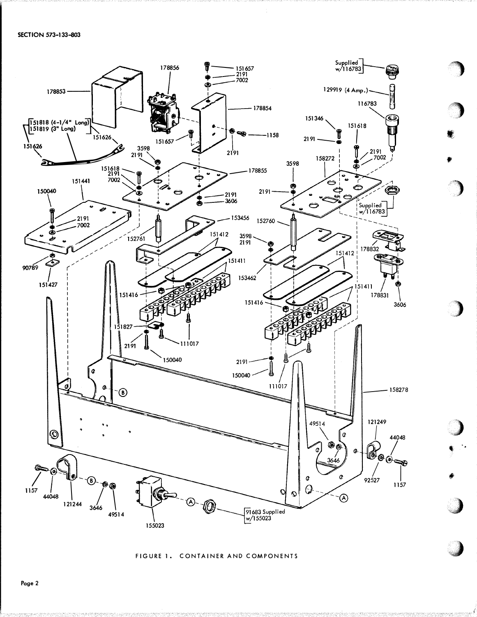

#### FIGURE 1. CONTAINER AND COMPONENTS

Page 2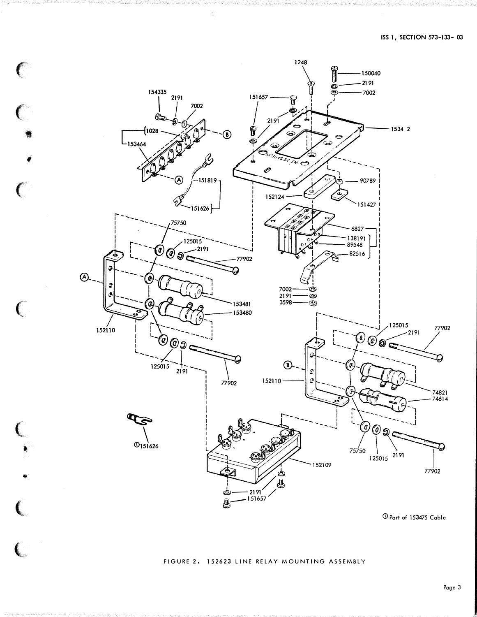

 $\big($ 

 $\overline{\mathbf{C}}$ 

 $\overline{C}$ 

# FIGURE 2. 152623 LINE RELAY MOUNTING ASSEMBLY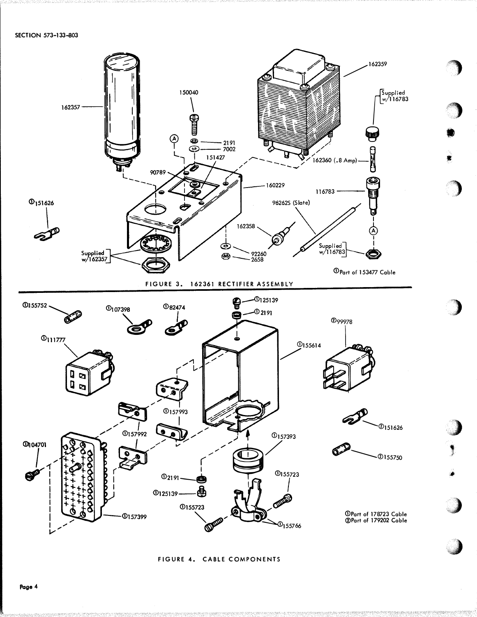

FIGURE 4. CABLE COMPONENTS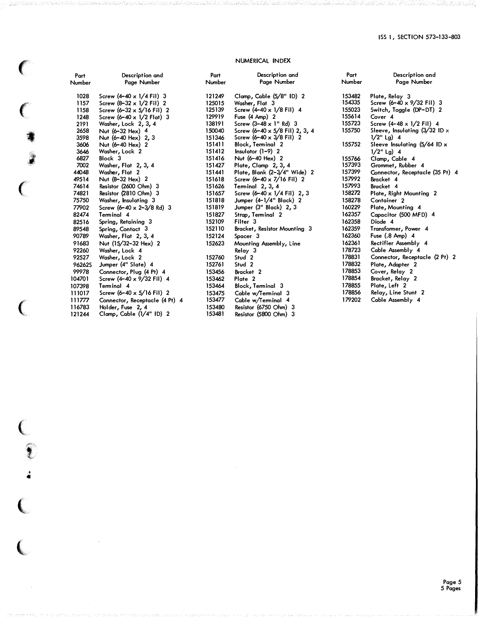## NUMERICAL INDEX

 $\big($ 

 $\big($ 

 $\big($ 

 $\big($ 

 $\big($ 

 $\big($ 

' ..

 $\ell$ 

:;;

•

| Part<br>Number | Description and<br>Page Number           | Part<br>Number | Description and<br>Page Number             | Part<br>Number | Description and<br>Page Number         |
|----------------|------------------------------------------|----------------|--------------------------------------------|----------------|----------------------------------------|
| 1028           | Screw $(4-40 \times 1/4$ Fil) 3          | 121249         | Clamp, Cable (5/8" ID) 2                   | 153482         | Plate, Relay 3                         |
| 1157           | Screw $(8-32 \times 1/2)$ Fil 2          | 125015         | Washer, Flat 3                             | 154335         | Screw (6-40 x 9/32 Fil) 3              |
| 1158           | Screw $(6-32 \times 5/16 \text{ Fil})$ 2 | 125139         | Screw $(4-40 \times 1/8$ Fil) 4            | 155023         | Switch, Toggle (DP-DT) 2               |
| 1248           | Screw $(6-40 \times 1/2 \text{ Flat})$ 3 | 129919         | Fuse (4 Amp) 2                             | 155614         | Cover 4                                |
| 2191           | Washer, Lock 2, 3, 4                     | 138191         | Screw $(3-48 \times 1"$ Rd) 3              | 155723         | Screw $(4-48 \times 1/2$ Fil) 4        |
| 2658           | Nut (6-32 Hex) 4                         | 150040         | Screw (6-40 x 5/8 Fil) 2, 3, 4             | 155750         | Sleeve, Insulating $(3/32$ ID $\times$ |
| 3598           | Nut (6-40 Hex) 2, 3                      | 151346         | Screw $(6-40 \times 3/8)$ Fil) 2           |                | $1/2$ " Lg) 4                          |
| 3606           | Nut (6-40 Hex) 2                         | 151411         | Block, Terminal 2                          | 155752         | Sleeve Insulating $(5/64$ ID x         |
| 3646           | Washer, Lock 2                           | 151412         | Insulator $(1-9)$ 2                        |                | $1/2$ " Lg) 4                          |
| 6827           | Block 3                                  | 151416         | Nut (6-40 Hex) 2                           | 155766         | Clamp, Cable 4                         |
| 7002           | Washer, Flat 2, 3, 4                     | 151427         | Plate, Clamp 2, 3, 4                       | 157393         | Grommet, Rubber 4                      |
| 44048          | Washer, Flat 2                           | 151441         | Plate, Blank (2-3/4" Wide) 2               | 157399         | Connector, Receptacle (35 Pt) 4        |
| 49514          | Nut (8-32 Hex) 2                         | 151618         | Screw $(6-40 \times 7/16 \text{ Fil})$ 2   | 157992         | Bracket 4                              |
| 74614          | Resistor (2600 Ohm) 3                    | 151626         | Terminal 2, 3, 4                           | 157993         | Bracket 4                              |
| 74821          | Resistor (2810 Ohm) 3                    | 151657         | Screw $(6-40 \times 1/4 \text{ Fil})$ 2, 3 | 158272         | Plate, Right Mounting 2                |
| 75750          | Washer, Insulating 3                     | 151818         | Jumper (4-1/4" Black) 2                    | 158278         | Container <sub>2</sub>                 |
| 77902          | Screw $(6-40 \times 2-3/8$ Rd) 3         | 151819         | Jumper (3" Black) 2, 3                     | 160229         | Plate, Mounting 4                      |
| 82474          | Terminal 4                               | 151827         | Strap, Terminal 2                          | 162357         | Capacitor (500 MFD) 4                  |
| 82516          | Spring, Retaining 3                      | 152109         | Filter <sub>3</sub>                        | 162358         | Diode 4                                |
| 89548          | Spring, Contact 3                        | 152110         | Bracket, Resistor Mounting 3               | 162359         | Transformer, Power 4                   |
| 90789          | Washer, Flat 2, 3, 4                     | 152124         | Spacer 3                                   | 162360         | Fuse (.8 Amp) 4                        |
| 91683          | Nut (15/32-32 Hex) 2                     | 152623         | Mounting Assembly, Line                    | 162361         | Rectifier Assembly 4                   |
| 92260          | Washer, Lock 4                           |                | Relay 3                                    | 178723         | Cable Assembly 4                       |
| 92527          | Washer, Lock 2                           | 152760         | Stud 2                                     | 178831         | Connector, Receptacle (2 Pt) 2         |
| <b>96262S</b>  | Jumper (4" Slate) 4                      | 152761         | Stud <sub>2</sub>                          | 178832         | Plate, Adapter 2                       |
| 99978          | Connector, Plug (4 Pt) 4                 | 153456         | Bracket <sub>2</sub>                       | 178853         | Cover, Relay 2                         |
| 104701         | Screw (4-40 x 9/32 Fil) 4                | 153462         | Plate 2                                    | 178854         | Bracket, Relay 2                       |
| 107398         | Terminal 4                               | 153464         | Block, Terminal 3                          | 178855         | Plate, Left 2                          |
| 111017         | Screw $(6-40 \times 5/16$ Fil) 2         | 153475         | Cable w/Terminal 3                         | 178856         | Relay, Line Stunt 2                    |
| 111777         | Connector, Receptacle (4 Pt) 4           | 153477         | Cable w/Terminal 4                         | 179202         | Cable Assembly 4                       |
| 116783         | Holder, Fuse 2, 4                        | 153480         | Resistor (6750 Ohm) 3                      |                |                                        |
| 121244         | Clamp, Cable (1/4" ID) 2                 | 153481         | Resistor (5800 Ohm) 3                      |                |                                        |